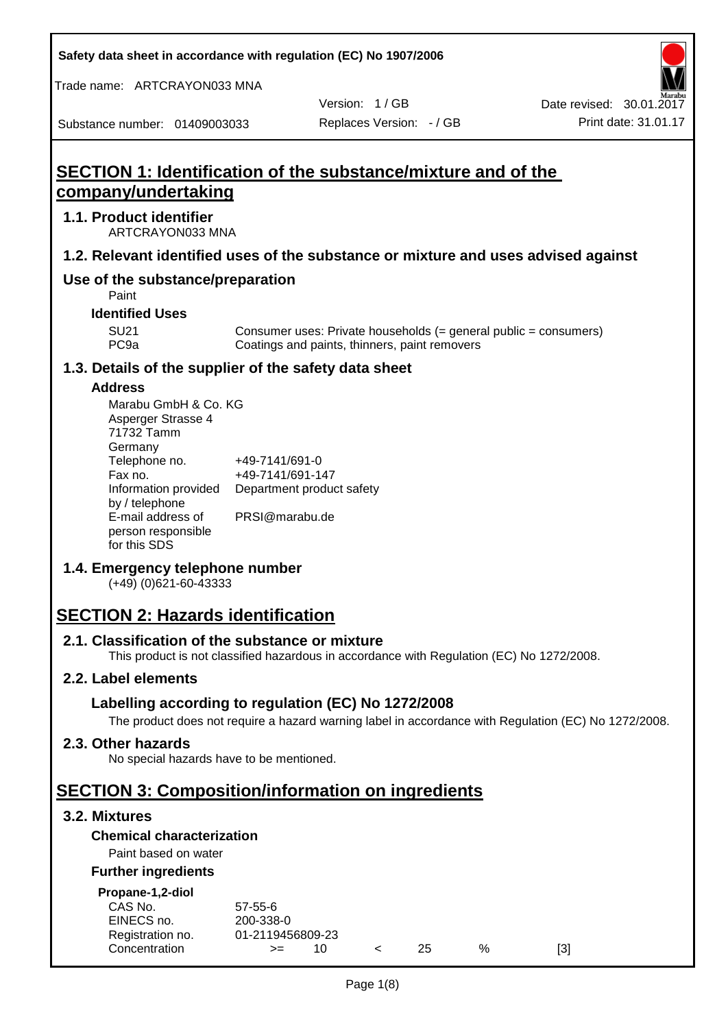**Safety data sheet in accordance with regulation (EC) No 1907/2006**

Trade name: ARTCRAYON033 MNA

Date revised: 30.01.2017

Substance number: 01409003033

**1.1. Product identifier**

Version: 1 / GB Replaces Version: - / GB Print date: 31.01.17

# **SECTION 1: Identification of the substance/mixture and of the company/undertaking** ARTCRAYON033 MNA **1.2. Relevant identified uses of the substance or mixture and uses advised against Use of the substance/preparation** SU21 Consumer uses: Private households (= general public = consumers)<br>PC9a Coatings and paints, thinners, paint removers Coatings and paints, thinners, paint removers **1.3. Details of the supplier of the safety data sheet** Department product safety PRSI@marabu.de

# **Address**

Paint **Identified Uses**

| Marabu GmbH & Co. KG |                           |
|----------------------|---------------------------|
| Asperger Strasse 4   |                           |
| 71732 Tamm           |                           |
| Germany              |                           |
| Telephone no.        | +49-7141/691-0            |
| Fax no.              | +49-7141/691-147          |
| Information provided | Department product safety |
| by / telephone       |                           |
| E-mail address of    | PRSI@marabu.de            |
| person responsible   |                           |
| for this SDS         |                           |

#### **1.4. Emergency telephone number**

(+49) (0)621-60-43333

# **SECTION 2: Hazards identification**

#### **2.1. Classification of the substance or mixture**

This product is not classified hazardous in accordance with Regulation (EC) No 1272/2008.

## **2.2. Label elements**

## **Labelling according to regulation (EC) No 1272/2008**

The product does not require a hazard warning label in accordance with Regulation (EC) No 1272/2008.

#### **2.3. Other hazards**

No special hazards have to be mentioned.

# **SECTION 3: Composition/information on ingredients**

#### **3.2. Mixtures**

#### **Chemical characterization**

# Paint based on water

#### **Further ingredients**

| Propane-1,2-diol |                  |     |    |   |     |
|------------------|------------------|-----|----|---|-----|
| CAS No.          | $57-55-6$        |     |    |   |     |
| EINECS no.       | 200-338-0        |     |    |   |     |
| Registration no. | 01-2119456809-23 |     |    |   |     |
| Concentration    | $>=$             | 1 O | 25 | % | [3] |
|                  |                  |     |    |   |     |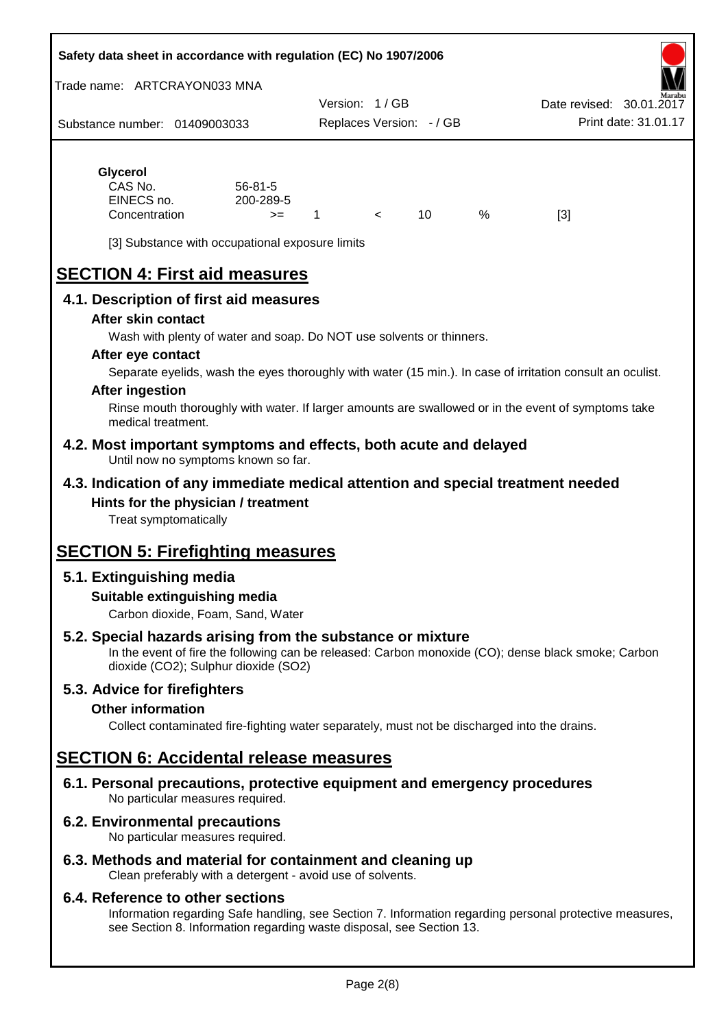#### **Safety data sheet in accordance with regulation (EC) No 1907/2006**

Trade name: ARTCRAYON033 MNA

Substance number: 01409003033 Version: 1 / GB Replaces Version: - / GB Print date: 31.01.17 Date revised: 30.01.2

# **Glycerol**

| CAS No.       | $56 - 81 - 5$ |  |   |     |
|---------------|---------------|--|---|-----|
| EINECS no.    | 200-289-5     |  |   |     |
| Concentration | $>=$          |  | % | [3] |

[3] Substance with occupational exposure limits

# **SECTION 4: First aid measures**

#### **4.1. Description of first aid measures**

#### **After skin contact**

Wash with plenty of water and soap. Do NOT use solvents or thinners.

#### **After eye contact**

Separate eyelids, wash the eyes thoroughly with water (15 min.). In case of irritation consult an oculist.

#### **After ingestion**

Rinse mouth thoroughly with water. If larger amounts are swallowed or in the event of symptoms take medical treatment.

#### **4.2. Most important symptoms and effects, both acute and delayed** Until now no symptoms known so far.

#### **4.3. Indication of any immediate medical attention and special treatment needed Hints for the physician / treatment**

Treat symptomatically

# **SECTION 5: Firefighting measures**

#### **5.1. Extinguishing media**

#### **Suitable extinguishing media**

Carbon dioxide, Foam, Sand, Water

### **5.2. Special hazards arising from the substance or mixture**

In the event of fire the following can be released: Carbon monoxide (CO); dense black smoke; Carbon dioxide (CO2); Sulphur dioxide (SO2)

#### **5.3. Advice for firefighters**

#### **Other information**

Collect contaminated fire-fighting water separately, must not be discharged into the drains.

# **SECTION 6: Accidental release measures**

**6.1. Personal precautions, protective equipment and emergency procedures** No particular measures required.

#### **6.2. Environmental precautions**

No particular measures required.

#### **6.3. Methods and material for containment and cleaning up**

Clean preferably with a detergent - avoid use of solvents.

#### **6.4. Reference to other sections**

Information regarding Safe handling, see Section 7. Information regarding personal protective measures, see Section 8. Information regarding waste disposal, see Section 13.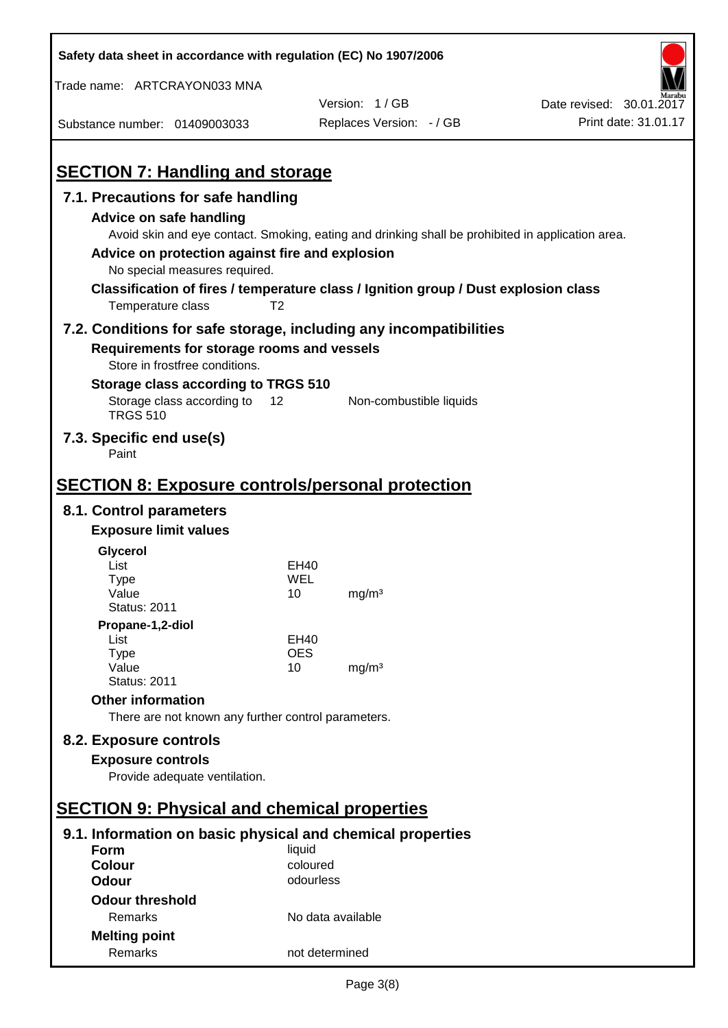| Safety data sheet in accordance with regulation (EC) No 1907/2006                   |                   |                                                                                                   |                          |
|-------------------------------------------------------------------------------------|-------------------|---------------------------------------------------------------------------------------------------|--------------------------|
| Trade name: ARTCRAYON033 MNA                                                        |                   |                                                                                                   |                          |
|                                                                                     |                   | Version: 1/GB                                                                                     | Date revised: 30.01.2017 |
| Substance number: 01409003033                                                       |                   | Replaces Version: - / GB                                                                          | Print date: 31.01.17     |
|                                                                                     |                   |                                                                                                   |                          |
| <b>SECTION 7: Handling and storage</b>                                              |                   |                                                                                                   |                          |
| 7.1. Precautions for safe handling                                                  |                   |                                                                                                   |                          |
| <b>Advice on safe handling</b>                                                      |                   |                                                                                                   |                          |
|                                                                                     |                   | Avoid skin and eye contact. Smoking, eating and drinking shall be prohibited in application area. |                          |
| Advice on protection against fire and explosion                                     |                   |                                                                                                   |                          |
| No special measures required.                                                       |                   |                                                                                                   |                          |
| Classification of fires / temperature class / Ignition group / Dust explosion class |                   |                                                                                                   |                          |
| Temperature class                                                                   | T <sub>2</sub>    |                                                                                                   |                          |
| 7.2. Conditions for safe storage, including any incompatibilities                   |                   |                                                                                                   |                          |
| Requirements for storage rooms and vessels                                          |                   |                                                                                                   |                          |
| Store in frostfree conditions.                                                      |                   |                                                                                                   |                          |
| Storage class according to TRGS 510                                                 |                   |                                                                                                   |                          |
| Storage class according to<br><b>TRGS 510</b>                                       | 12                | Non-combustible liquids                                                                           |                          |
| 7.3. Specific end use(s)<br>Paint                                                   |                   |                                                                                                   |                          |
|                                                                                     |                   |                                                                                                   |                          |
| <b>SECTION 8: Exposure controls/personal protection</b>                             |                   |                                                                                                   |                          |
| 8.1. Control parameters                                                             |                   |                                                                                                   |                          |
| <b>Exposure limit values</b>                                                        |                   |                                                                                                   |                          |
| Glycerol                                                                            |                   |                                                                                                   |                          |
| List                                                                                | EH40              |                                                                                                   |                          |
| <b>Type</b><br>Value                                                                | WEL<br>10         | mg/m <sup>3</sup>                                                                                 |                          |
| <b>Status: 2011</b>                                                                 |                   |                                                                                                   |                          |
| Propane-1,2-diol                                                                    |                   |                                                                                                   |                          |
| List                                                                                | EH40              |                                                                                                   |                          |
| <b>Type</b><br>Value                                                                | <b>OES</b><br>10  | mg/m <sup>3</sup>                                                                                 |                          |
| <b>Status: 2011</b>                                                                 |                   |                                                                                                   |                          |
| <b>Other information</b>                                                            |                   |                                                                                                   |                          |
| There are not known any further control parameters.                                 |                   |                                                                                                   |                          |
| 8.2. Exposure controls                                                              |                   |                                                                                                   |                          |
| <b>Exposure controls</b>                                                            |                   |                                                                                                   |                          |
| Provide adequate ventilation.                                                       |                   |                                                                                                   |                          |
|                                                                                     |                   |                                                                                                   |                          |
| <b>SECTION 9: Physical and chemical properties</b>                                  |                   |                                                                                                   |                          |
| 9.1. Information on basic physical and chemical properties                          |                   |                                                                                                   |                          |
| Form                                                                                | liquid            |                                                                                                   |                          |
| <b>Colour</b>                                                                       | coloured          |                                                                                                   |                          |
| <b>Odour</b>                                                                        | odourless         |                                                                                                   |                          |
| <b>Odour threshold</b>                                                              |                   |                                                                                                   |                          |
| Remarks                                                                             | No data available |                                                                                                   |                          |
| <b>Melting point</b>                                                                |                   |                                                                                                   |                          |
| Remarks                                                                             | not determined    |                                                                                                   |                          |

 $\mathbf{r}$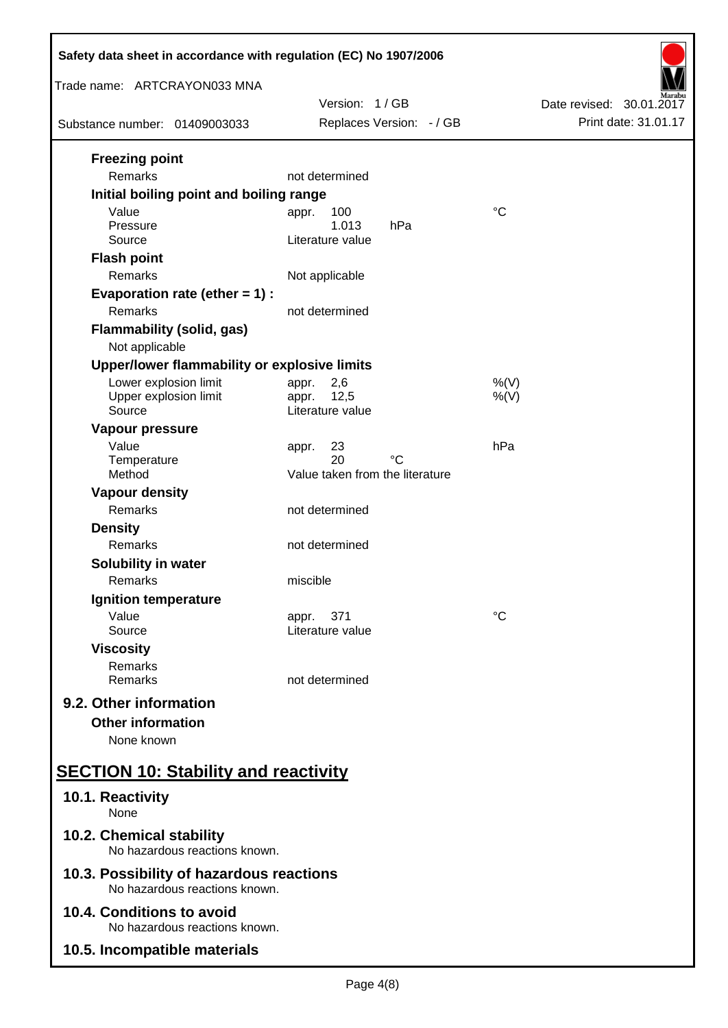| Safety data sheet in accordance with regulation (EC) No 1907/2006         |                                 |                          |  |
|---------------------------------------------------------------------------|---------------------------------|--------------------------|--|
| Trade name: ARTCRAYON033 MNA                                              |                                 |                          |  |
|                                                                           | Version: 1/GB                   | Date revised: 30.01.2017 |  |
| Substance number: 01409003033                                             | Replaces Version: - / GB        | Print date: 31.01.17     |  |
| <b>Freezing point</b><br>Remarks                                          | not determined                  |                          |  |
| Initial boiling point and boiling range                                   |                                 |                          |  |
| Value                                                                     | 100<br>appr.                    | $^{\circ}C$              |  |
| Pressure                                                                  | 1.013<br>hPa                    |                          |  |
| Source                                                                    | Literature value                |                          |  |
| <b>Flash point</b>                                                        |                                 |                          |  |
| Remarks                                                                   | Not applicable                  |                          |  |
| Evaporation rate (ether $= 1$ ) :                                         |                                 |                          |  |
| Remarks                                                                   | not determined                  |                          |  |
| <b>Flammability (solid, gas)</b>                                          |                                 |                          |  |
| Not applicable                                                            |                                 |                          |  |
| Upper/lower flammability or explosive limits                              |                                 |                          |  |
| Lower explosion limit<br>Upper explosion limit                            | 2,6<br>appr.<br>12,5<br>appr.   | $%$ (V)<br>$%$ (V)       |  |
| Source                                                                    | Literature value                |                          |  |
| Vapour pressure                                                           |                                 |                          |  |
| Value                                                                     | 23<br>appr.                     | hPa                      |  |
| Temperature                                                               | 20<br>°C                        |                          |  |
| Method                                                                    | Value taken from the literature |                          |  |
| <b>Vapour density</b>                                                     |                                 |                          |  |
| Remarks                                                                   | not determined                  |                          |  |
| <b>Density</b><br>Remarks                                                 | not determined                  |                          |  |
|                                                                           |                                 |                          |  |
| <b>Solubility in water</b><br>Remarks                                     | miscible                        |                          |  |
| Ignition temperature                                                      |                                 |                          |  |
| Value                                                                     | 371<br>appr.                    | $^{\circ}C$              |  |
| Source                                                                    | Literature value                |                          |  |
| <b>Viscosity</b>                                                          |                                 |                          |  |
| Remarks                                                                   |                                 |                          |  |
| Remarks                                                                   | not determined                  |                          |  |
| 9.2. Other information                                                    |                                 |                          |  |
| <b>Other information</b>                                                  |                                 |                          |  |
| None known                                                                |                                 |                          |  |
| <b>SECTION 10: Stability and reactivity</b>                               |                                 |                          |  |
| 10.1. Reactivity<br>None                                                  |                                 |                          |  |
| 10.2. Chemical stability<br>No hazardous reactions known.                 |                                 |                          |  |
| 10.3. Possibility of hazardous reactions<br>No hazardous reactions known. |                                 |                          |  |
| 10.4. Conditions to avoid<br>No hazardous reactions known.                |                                 |                          |  |
| 10.5. Incompatible materials                                              |                                 |                          |  |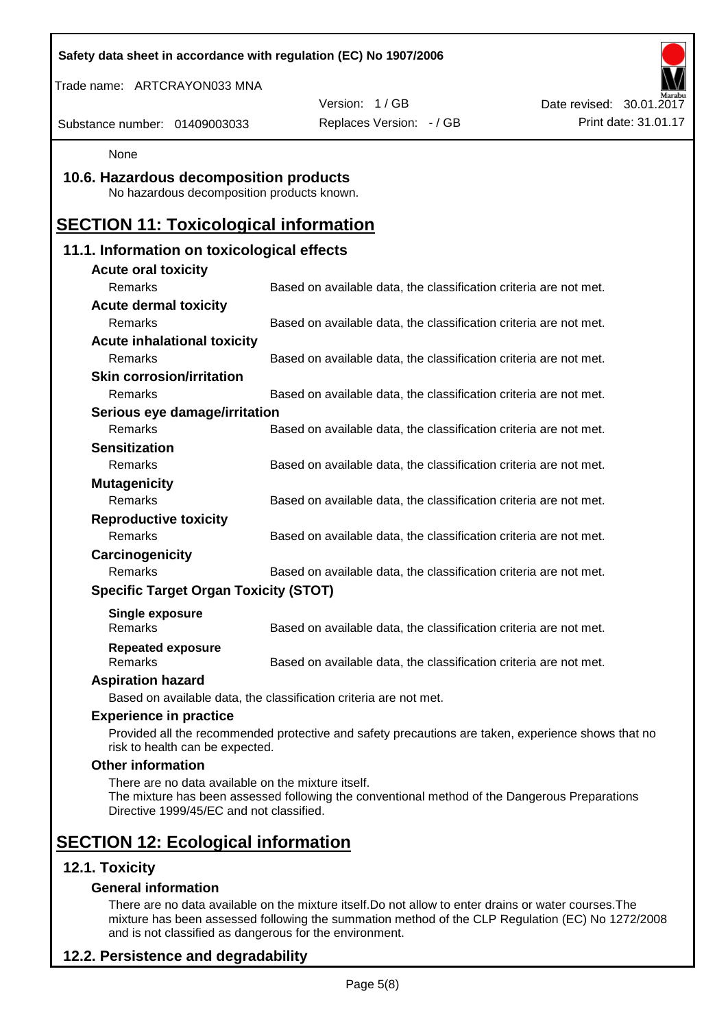| Safety data sheet in accordance with regulation (EC) No 1907/2006                              |                                                                                                    |                          |
|------------------------------------------------------------------------------------------------|----------------------------------------------------------------------------------------------------|--------------------------|
| Trade name: ARTCRAYON033 MNA                                                                   |                                                                                                    |                          |
|                                                                                                | Version: 1/GB                                                                                      | Date revised: 30.01.2017 |
| Substance number: 01409003033                                                                  | Replaces Version: - / GB                                                                           | Print date: 31.01.17     |
| None                                                                                           |                                                                                                    |                          |
| 10.6. Hazardous decomposition products<br>No hazardous decomposition products known.           |                                                                                                    |                          |
| <b>SECTION 11: Toxicological information</b>                                                   |                                                                                                    |                          |
| 11.1. Information on toxicological effects                                                     |                                                                                                    |                          |
| <b>Acute oral toxicity</b>                                                                     |                                                                                                    |                          |
| Remarks                                                                                        | Based on available data, the classification criteria are not met.                                  |                          |
| <b>Acute dermal toxicity</b>                                                                   |                                                                                                    |                          |
| Remarks                                                                                        | Based on available data, the classification criteria are not met.                                  |                          |
| <b>Acute inhalational toxicity</b>                                                             |                                                                                                    |                          |
| Remarks                                                                                        | Based on available data, the classification criteria are not met.                                  |                          |
| <b>Skin corrosion/irritation</b>                                                               |                                                                                                    |                          |
| <b>Remarks</b>                                                                                 | Based on available data, the classification criteria are not met.                                  |                          |
| Serious eye damage/irritation                                                                  |                                                                                                    |                          |
| Remarks                                                                                        | Based on available data, the classification criteria are not met.                                  |                          |
| <b>Sensitization</b>                                                                           |                                                                                                    |                          |
| Remarks                                                                                        | Based on available data, the classification criteria are not met.                                  |                          |
| <b>Mutagenicity</b>                                                                            |                                                                                                    |                          |
| Remarks                                                                                        | Based on available data, the classification criteria are not met.                                  |                          |
| <b>Reproductive toxicity</b>                                                                   |                                                                                                    |                          |
| Remarks                                                                                        | Based on available data, the classification criteria are not met.                                  |                          |
| Carcinogenicity                                                                                |                                                                                                    |                          |
| Remarks                                                                                        | Based on available data, the classification criteria are not met.                                  |                          |
| <b>Specific Target Organ Toxicity (STOT)</b>                                                   |                                                                                                    |                          |
| Single exposure<br>Remarks                                                                     | Based on available data, the classification criteria are not met.                                  |                          |
| <b>Repeated exposure</b><br>Remarks                                                            | Based on available data, the classification criteria are not met.                                  |                          |
| <b>Aspiration hazard</b>                                                                       |                                                                                                    |                          |
|                                                                                                | Based on available data, the classification criteria are not met.                                  |                          |
| <b>Experience in practice</b>                                                                  |                                                                                                    |                          |
| risk to health can be expected.                                                                | Provided all the recommended protective and safety precautions are taken, experience shows that no |                          |
| <b>Other information</b>                                                                       |                                                                                                    |                          |
| There are no data available on the mixture itself.<br>Directive 1999/45/EC and not classified. | The mixture has been assessed following the conventional method of the Dangerous Preparations      |                          |
| <b>SECTION 12: Ecological information</b>                                                      |                                                                                                    |                          |
| 12.1. Toxicity                                                                                 |                                                                                                    |                          |
| <b>General information</b>                                                                     |                                                                                                    |                          |

There are no data available on the mixture itself.Do not allow to enter drains or water courses.The mixture has been assessed following the summation method of the CLP Regulation (EC) No 1272/2008 and is not classified as dangerous for the environment.

# **12.2. Persistence and degradability**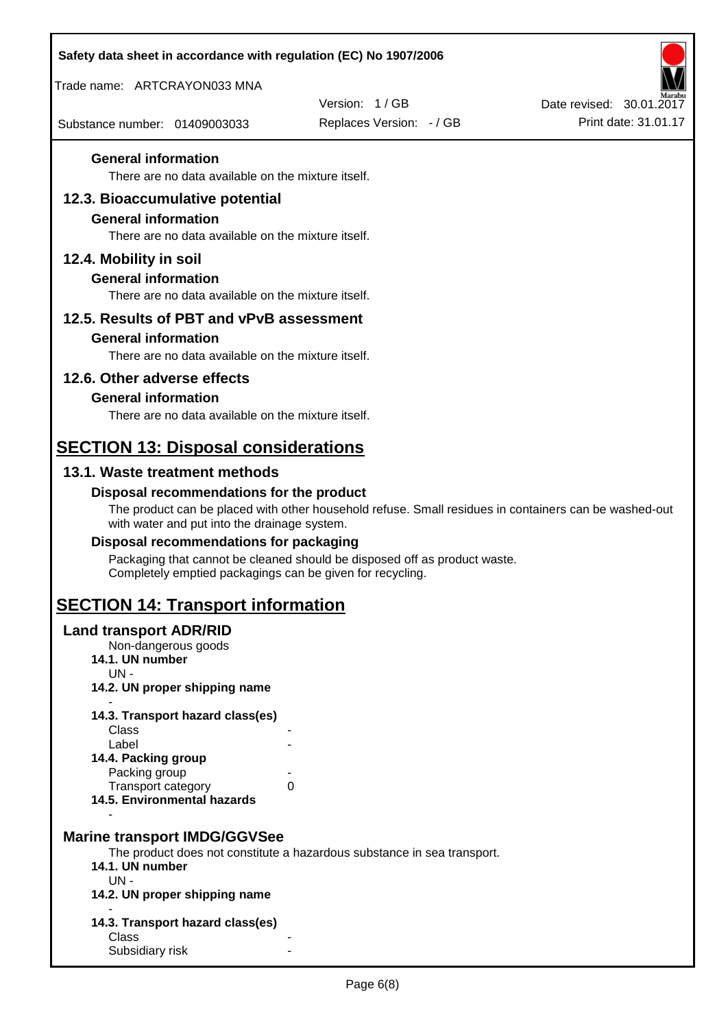| Safety data sheet in accordance with regulation (EC) No 1907/2006                |                                                                                                       |                                                  |
|----------------------------------------------------------------------------------|-------------------------------------------------------------------------------------------------------|--------------------------------------------------|
| Trade name: ARTCRAYON033 MNA                                                     |                                                                                                       |                                                  |
|                                                                                  | Version: 1/GB                                                                                         | Date revised: 30.01.2017<br>Print date: 31.01.17 |
| Substance number: 01409003033                                                    | Replaces Version: - / GB                                                                              |                                                  |
| <b>General information</b>                                                       |                                                                                                       |                                                  |
| There are no data available on the mixture itself.                               |                                                                                                       |                                                  |
| 12.3. Bioaccumulative potential                                                  |                                                                                                       |                                                  |
| <b>General information</b><br>There are no data available on the mixture itself. |                                                                                                       |                                                  |
| 12.4. Mobility in soil                                                           |                                                                                                       |                                                  |
| <b>General information</b>                                                       |                                                                                                       |                                                  |
| There are no data available on the mixture itself.                               |                                                                                                       |                                                  |
| 12.5. Results of PBT and vPvB assessment                                         |                                                                                                       |                                                  |
| <b>General information</b>                                                       |                                                                                                       |                                                  |
| There are no data available on the mixture itself.                               |                                                                                                       |                                                  |
| 12.6. Other adverse effects                                                      |                                                                                                       |                                                  |
| <b>General information</b>                                                       |                                                                                                       |                                                  |
| There are no data available on the mixture itself.                               |                                                                                                       |                                                  |
| <b>SECTION 13: Disposal considerations</b>                                       |                                                                                                       |                                                  |
| 13.1. Waste treatment methods                                                    |                                                                                                       |                                                  |
| Disposal recommendations for the product                                         |                                                                                                       |                                                  |
| with water and put into the drainage system.                                     | The product can be placed with other household refuse. Small residues in containers can be washed-out |                                                  |
| Disposal recommendations for packaging                                           |                                                                                                       |                                                  |
| Completely emptied packagings can be given for recycling.                        | Packaging that cannot be cleaned should be disposed off as product waste.                             |                                                  |
| <b>SECTION 14: Transport information</b>                                         |                                                                                                       |                                                  |
| <b>Land transport ADR/RID</b>                                                    |                                                                                                       |                                                  |
| Non-dangerous goods<br>14.1. UN number                                           |                                                                                                       |                                                  |
| $UN -$                                                                           |                                                                                                       |                                                  |
| 14.2. UN proper shipping name                                                    |                                                                                                       |                                                  |
| 14.3. Transport hazard class(es)<br>Class                                        |                                                                                                       |                                                  |
| Label                                                                            |                                                                                                       |                                                  |
| 14.4. Packing group<br>Packing group                                             |                                                                                                       |                                                  |
| <b>Transport category</b>                                                        | 0                                                                                                     |                                                  |
| 14.5. Environmental hazards                                                      |                                                                                                       |                                                  |
| <b>Marine transport IMDG/GGVSee</b>                                              |                                                                                                       |                                                  |
|                                                                                  | The product does not constitute a hazardous substance in sea transport.                               |                                                  |
| 14.1. UN number<br>$UN -$                                                        |                                                                                                       |                                                  |
| 14.2. UN proper shipping name                                                    |                                                                                                       |                                                  |
| 14.3. Transport hazard class(es)                                                 |                                                                                                       |                                                  |
| Class<br>Subsidiary risk                                                         |                                                                                                       |                                                  |
|                                                                                  |                                                                                                       |                                                  |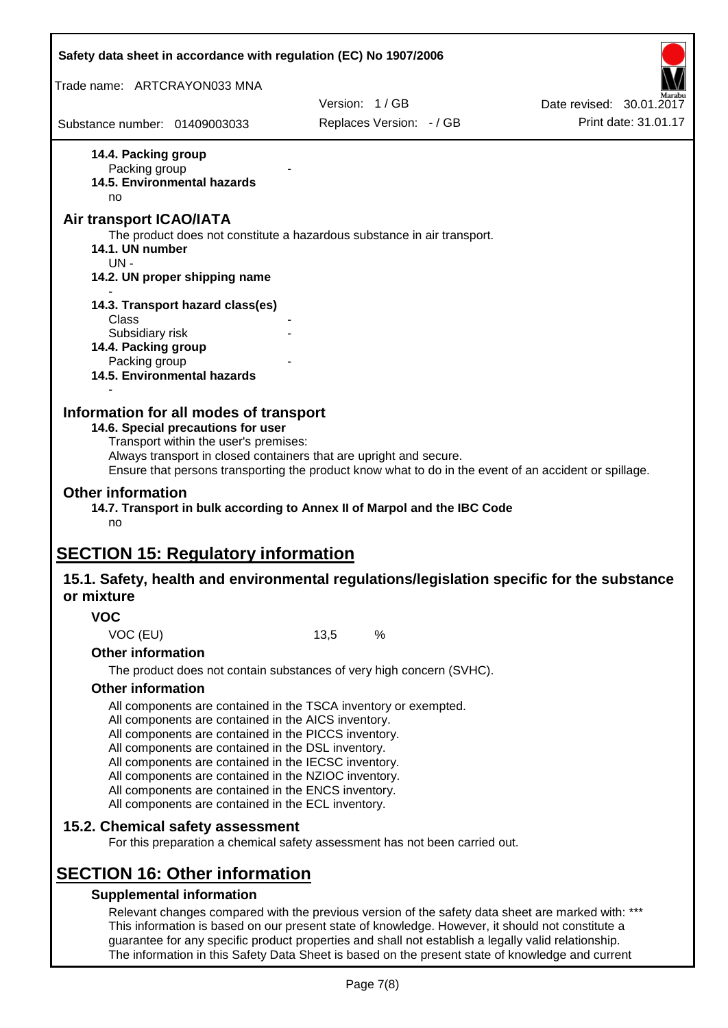| Safety data sheet in accordance with regulation (EC) No 1907/2006                                                                                                                                                                                                                                                                                                                                                                                                                             |               |                          |                                                                                                       |
|-----------------------------------------------------------------------------------------------------------------------------------------------------------------------------------------------------------------------------------------------------------------------------------------------------------------------------------------------------------------------------------------------------------------------------------------------------------------------------------------------|---------------|--------------------------|-------------------------------------------------------------------------------------------------------|
| Trade name: ARTCRAYON033 MNA                                                                                                                                                                                                                                                                                                                                                                                                                                                                  |               |                          |                                                                                                       |
|                                                                                                                                                                                                                                                                                                                                                                                                                                                                                               | Version: 1/GB |                          | Date revised: 30.01.2017                                                                              |
| Substance number: 01409003033                                                                                                                                                                                                                                                                                                                                                                                                                                                                 |               | Replaces Version: - / GB | Print date: 31.01.17                                                                                  |
| 14.4. Packing group<br>Packing group<br>14.5. Environmental hazards<br>no<br><b>Air transport ICAO/IATA</b>                                                                                                                                                                                                                                                                                                                                                                                   |               |                          |                                                                                                       |
| The product does not constitute a hazardous substance in air transport.<br>14.1. UN number<br>$UN -$                                                                                                                                                                                                                                                                                                                                                                                          |               |                          |                                                                                                       |
| 14.2. UN proper shipping name                                                                                                                                                                                                                                                                                                                                                                                                                                                                 |               |                          |                                                                                                       |
| 14.3. Transport hazard class(es)<br>Class<br>Subsidiary risk                                                                                                                                                                                                                                                                                                                                                                                                                                  |               |                          |                                                                                                       |
| 14.4. Packing group<br>Packing group<br>14.5. Environmental hazards                                                                                                                                                                                                                                                                                                                                                                                                                           |               |                          |                                                                                                       |
| Information for all modes of transport<br>14.6. Special precautions for user<br>Transport within the user's premises:<br>Always transport in closed containers that are upright and secure.                                                                                                                                                                                                                                                                                                   |               |                          | Ensure that persons transporting the product know what to do in the event of an accident or spillage. |
| <b>Other information</b><br>14.7. Transport in bulk according to Annex II of Marpol and the IBC Code<br>no                                                                                                                                                                                                                                                                                                                                                                                    |               |                          |                                                                                                       |
| <b>SECTION 15: Regulatory information</b>                                                                                                                                                                                                                                                                                                                                                                                                                                                     |               |                          |                                                                                                       |
| 15.1. Safety, health and environmental regulations/legislation specific for the substance<br>or mixture                                                                                                                                                                                                                                                                                                                                                                                       |               |                          |                                                                                                       |
| <b>VOC</b>                                                                                                                                                                                                                                                                                                                                                                                                                                                                                    |               |                          |                                                                                                       |
| VOC (EU)                                                                                                                                                                                                                                                                                                                                                                                                                                                                                      | 13,5          | %                        |                                                                                                       |
| <b>Other information</b>                                                                                                                                                                                                                                                                                                                                                                                                                                                                      |               |                          |                                                                                                       |
| The product does not contain substances of very high concern (SVHC).                                                                                                                                                                                                                                                                                                                                                                                                                          |               |                          |                                                                                                       |
| <b>Other information</b><br>All components are contained in the TSCA inventory or exempted.<br>All components are contained in the AICS inventory.<br>All components are contained in the PICCS inventory.<br>All components are contained in the DSL inventory.<br>All components are contained in the IECSC inventory.<br>All components are contained in the NZIOC inventory.<br>All components are contained in the ENCS inventory.<br>All components are contained in the ECL inventory. |               |                          |                                                                                                       |
| 15.2. Chemical safety assessment<br>For this preparation a chemical safety assessment has not been carried out.                                                                                                                                                                                                                                                                                                                                                                               |               |                          |                                                                                                       |
| <b>SECTION 16: Other information</b>                                                                                                                                                                                                                                                                                                                                                                                                                                                          |               |                          |                                                                                                       |
| <b>Supplemental information</b><br>Relevant changes compared with the previous version of the safety data sheet are marked with: ***<br>This information is based on our present state of knowledge. However, it should not constitute a<br>guarantee for any specific product properties and shall not establish a legally valid relationship.                                                                                                                                               |               |                          |                                                                                                       |

The information in this Safety Data Sheet is based on the present state of knowledge and current